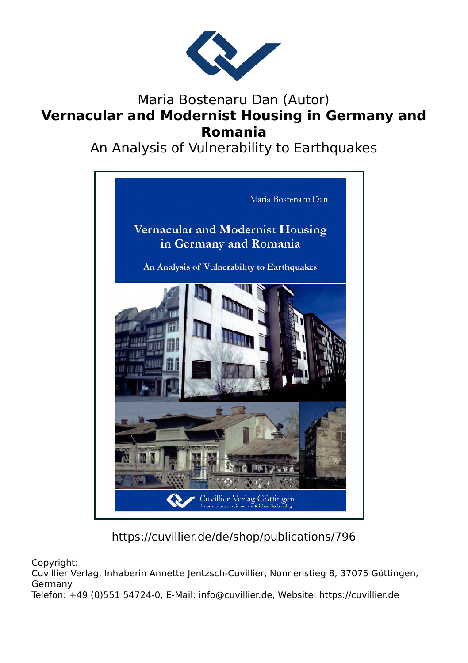

## Maria Bostenaru Dan (Autor) **Vernacular and Modernist Housing in Germany and Romania**

An Analysis of Vulnerability to Earthquakes



https://cuvillier.de/de/shop/publications/796

Copyright:

Cuvillier Verlag, Inhaberin Annette Jentzsch-Cuvillier, Nonnenstieg 8, 37075 Göttingen, Germany

Telefon: +49 (0)551 54724-0, E-Mail: info@cuvillier.de, Website: https://cuvillier.de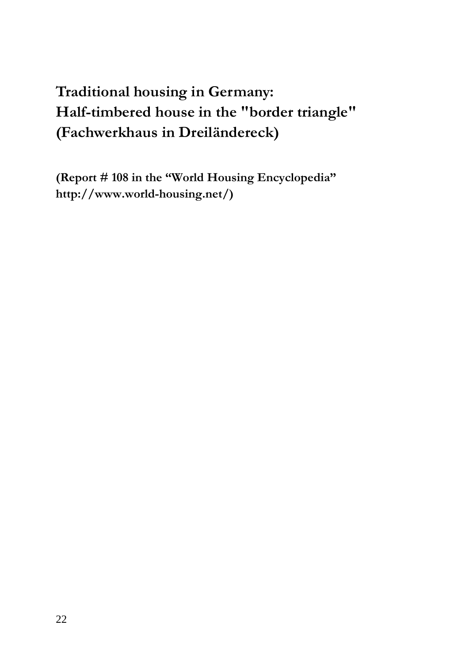## **Traditional housing in Germany: Half-timbered house in the "border triangle" (Fachwerkhaus in Dreiländereck)**

**(Report # 108 in the "World Housing Encyclopedia" http://www.world-housing.net/)**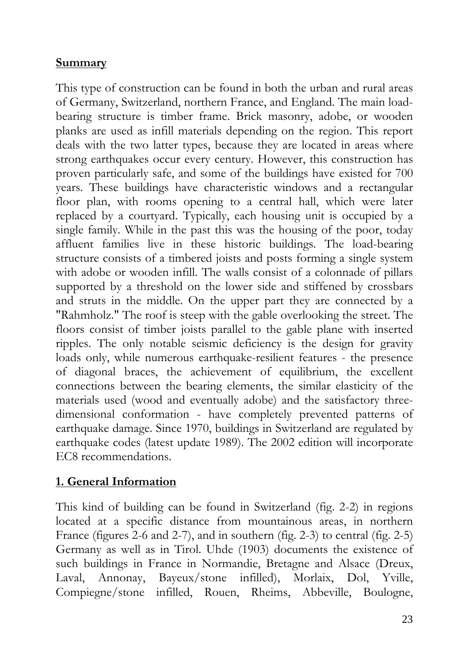## **Summary**

This type of construction can be found in both the urban and rural areas of Germany, Switzerland, northern France, and England. The main loadbearing structure is timber frame. Brick masonry, adobe, or wooden planks are used as infill materials depending on the region. This report deals with the two latter types, because they are located in areas where strong earthquakes occur every century. However, this construction has proven particularly safe, and some of the buildings have existed for 700 years. These buildings have characteristic windows and a rectangular floor plan, with rooms opening to a central hall, which were later replaced by a courtyard. Typically, each housing unit is occupied by a single family. While in the past this was the housing of the poor, today affluent families live in these historic buildings. The load-bearing structure consists of a timbered joists and posts forming a single system with adobe or wooden infill. The walls consist of a colonnade of pillars supported by a threshold on the lower side and stiffened by crossbars and struts in the middle. On the upper part they are connected by a "Rahmholz." The roof is steep with the gable overlooking the street. The floors consist of timber joists parallel to the gable plane with inserted ripples. The only notable seismic deficiency is the design for gravity loads only, while numerous earthquake-resilient features - the presence of diagonal braces, the achievement of equilibrium, the excellent connections between the bearing elements, the similar elasticity of the materials used (wood and eventually adobe) and the satisfactory threedimensional conformation - have completely prevented patterns of earthquake damage. Since 1970, buildings in Switzerland are regulated by earthquake codes (latest update 1989). The 2002 edition will incorporate EC8 recommendations.

## **1. General Information**

This kind of building can be found in Switzerland (fig. 2-2) in regions located at a specific distance from mountainous areas, in northern France (figures 2-6 and 2-7), and in southern (fig. 2-3) to central (fig. 2-5) Germany as well as in Tirol. Uhde (1903) documents the existence of such buildings in France in Normandie, Bretagne and Alsace (Dreux, Laval, Annonay, Bayeux/stone infilled), Morlaix, Dol, Yville, Compiegne/stone infilled, Rouen, Rheims, Abbeville, Boulogne,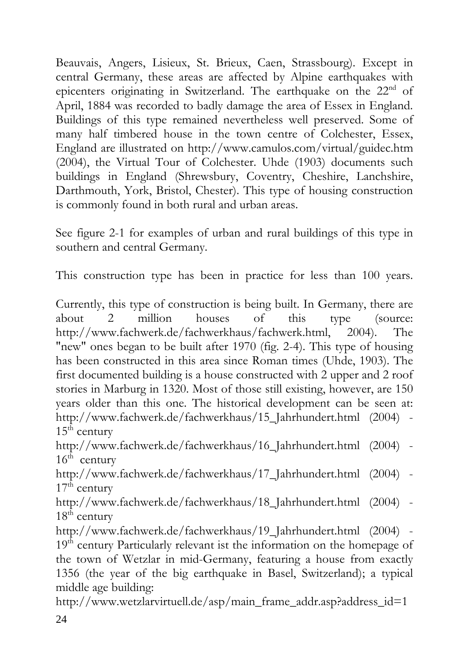Beauvais, Angers, Lisieux, St. Brieux, Caen, Strassbourg). Except in central Germany, these areas are affected by Alpine earthquakes with epicenters originating in Switzerland. The earthquake on the  $22<sup>nd</sup>$  of April, 1884 was recorded to badly damage the area of Essex in England. Buildings of this type remained nevertheless well preserved. Some of many half timbered house in the town centre of Colchester, Essex, England are illustrated on http://www.camulos.com/virtual/guidec.htm (2004), the Virtual Tour of Colchester. Uhde (1903) documents such buildings in England (Shrewsbury, Coventry, Cheshire, Lanchshire, Darthmouth, York, Bristol, Chester). This type of housing construction is commonly found in both rural and urban areas.

See figure 2-1 for examples of urban and rural buildings of this type in southern and central Germany.

This construction type has been in practice for less than 100 years.

Currently, this type of construction is being built. In Germany, there are about 2 million houses of this type (source: http://www.fachwerk.de/fachwerkhaus/fachwerk.html, 2004). The "new" ones began to be built after 1970 (fig. 2-4). This type of housing has been constructed in this area since Roman times (Uhde, 1903). The first documented building is a house constructed with 2 upper and 2 roof stories in Marburg in 1320. Most of those still existing, however, are 150 years older than this one. The historical development can be seen at: http://www.fachwerk.de/fachwerkhaus/15\_Jahrhundert.html (2004) - $15^{t\bar{h}}$  century

http://www.fachwerk.de/fachwerkhaus/16\_Jahrhundert.html (2004) -  $16<sup>th</sup>$  century

http://www.fachwerk.de/fachwerkhaus/17\_Jahrhundert.html (2004) -  $17<sup>th</sup>$  century

http://www.fachwerk.de/fachwerkhaus/18\_Jahrhundert.html (2004) -  $18<sup>th</sup>$  century

http://www.fachwerk.de/fachwerkhaus/19\_Jahrhundert.html (2004) - $19<sup>th</sup>$  century Particularly relevant ist the information on the homepage of the town of Wetzlar in mid-Germany, featuring a house from exactly 1356 (the year of the big earthquake in Basel, Switzerland); a typical middle age building:

http://www.wetzlarvirtuell.de/asp/main\_frame\_addr.asp?address\_id=1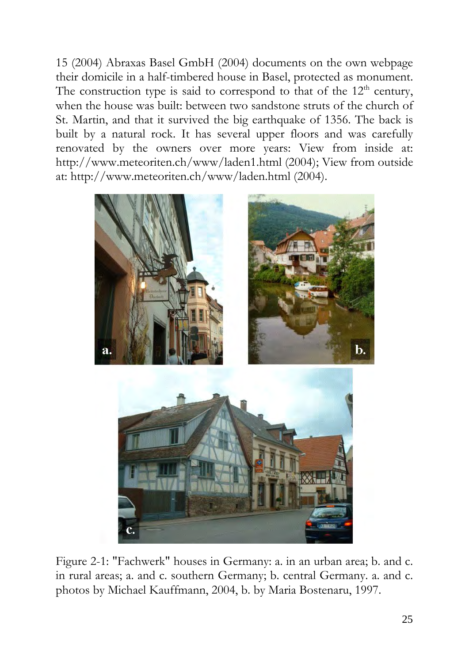15 (2004) Abraxas Basel GmbH (2004) documents on the own webpage their domicile in a half-timbered house in Basel, protected as monument. The construction type is said to correspond to that of the  $12<sup>th</sup>$  century, when the house was built: between two sandstone struts of the church of St. Martin, and that it survived the big earthquake of 1356. The back is built by a natural rock. It has several upper floors and was carefully renovated by the owners over more years: View from inside at: http://www.meteoriten.ch/www/laden1.html (2004); View from outside at: http://www.meteoriten.ch/www/laden.html (2004).



Figure 2-1: "Fachwerk" houses in Germany: a. in an urban area; b. and c. in rural areas; a. and c. southern Germany; b. central Germany. a. and c. photos by Michael Kauffmann, 2004, b. by Maria Bostenaru, 1997.